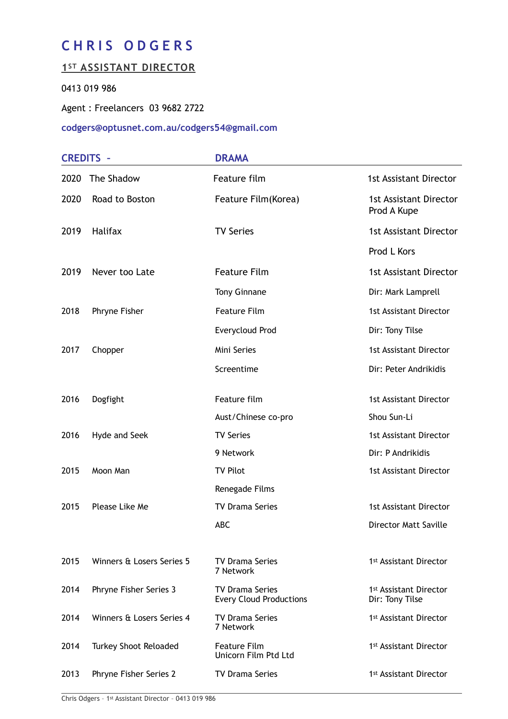# **CHRIS ODGERS**

## **1ST ASSISTANT DIRECTOR**

### 0413 019 986

Agent : Freelancers 03 9682 2722

#### **codgers@optusnet.com.au/codgers54@gmail.com**

| <b>CREDITS -</b> |                           | <b>DRAMA</b>                                             |                                                       |
|------------------|---------------------------|----------------------------------------------------------|-------------------------------------------------------|
| 2020             | The Shadow                | Feature film                                             | <b>1st Assistant Director</b>                         |
| 2020             | Road to Boston            | Feature Film(Korea)                                      | <b>1st Assistant Director</b><br>Prod A Kupe          |
| 2019             | <b>Halifax</b>            | <b>TV Series</b>                                         | <b>1st Assistant Director</b>                         |
|                  |                           |                                                          | Prod L Kors                                           |
| 2019             | Never too Late            | <b>Feature Film</b>                                      | <b>1st Assistant Director</b>                         |
|                  |                           | <b>Tony Ginnane</b>                                      | Dir: Mark Lamprell                                    |
| 2018             | Phryne Fisher             | <b>Feature Film</b>                                      | <b>1st Assistant Director</b>                         |
|                  |                           | Everycloud Prod                                          | Dir: Tony Tilse                                       |
| 2017             | Chopper                   | Mini Series                                              | <b>1st Assistant Director</b>                         |
|                  |                           | Screentime                                               | Dir: Peter Andrikidis                                 |
| 2016             | Dogfight                  | Feature film                                             | <b>1st Assistant Director</b>                         |
|                  |                           | Aust/Chinese co-pro                                      | Shou Sun-Li                                           |
| 2016             | Hyde and Seek             | <b>TV Series</b>                                         | <b>1st Assistant Director</b>                         |
|                  |                           | 9 Network                                                | Dir: P Andrikidis                                     |
| 2015             | Moon Man                  | <b>TV Pilot</b>                                          | <b>1st Assistant Director</b>                         |
|                  |                           | Renegade Films                                           |                                                       |
| 2015             | Please Like Me            | <b>TV Drama Series</b>                                   | <b>1st Assistant Director</b>                         |
|                  |                           | <b>ABC</b>                                               | Director Matt Saville                                 |
| 2015             | Winners & Losers Series 5 | <b>TV Drama Series</b><br>7 Network                      | 1 <sup>st</sup> Assistant Director                    |
| 2014             | Phryne Fisher Series 3    | <b>TV Drama Series</b><br><b>Every Cloud Productions</b> | 1 <sup>st</sup> Assistant Director<br>Dir: Tony Tilse |
| 2014             | Winners & Losers Series 4 | <b>TV Drama Series</b><br>7 Network                      | 1 <sup>st</sup> Assistant Director                    |
| 2014             | Turkey Shoot Reloaded     | <b>Feature Film</b><br>Unicorn Film Ptd Ltd              | 1 <sup>st</sup> Assistant Director                    |
| 2013             | Phryne Fisher Series 2    | <b>TV Drama Series</b>                                   | 1 <sup>st</sup> Assistant Director                    |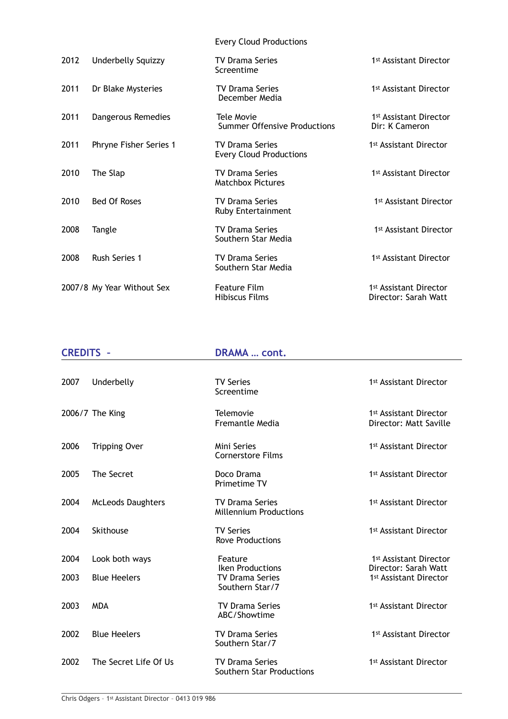Every Cloud Productions

| 2012 | Underbelly Squizzy         | <b>TV Drama Series</b><br>Screentime                     | 1 <sup>st</sup> Assistant Director                         |
|------|----------------------------|----------------------------------------------------------|------------------------------------------------------------|
| 2011 | Dr Blake Mysteries         | <b>TV Drama Series</b><br>December Media                 | 1 <sup>st</sup> Assistant Director                         |
| 2011 | Dangerous Remedies         | Tele Movie<br><b>Summer Offensive Productions</b>        | 1 <sup>st</sup> Assistant Director<br>Dir: K Cameron       |
| 2011 | Phryne Fisher Series 1     | <b>TV Drama Series</b><br><b>Every Cloud Productions</b> | 1 <sup>st</sup> Assistant Director                         |
| 2010 | The Slap                   | <b>TV Drama Series</b><br><b>Matchbox Pictures</b>       | 1 <sup>st</sup> Assistant Director                         |
| 2010 | <b>Bed Of Roses</b>        | <b>TV Drama Series</b><br>Ruby Entertainment             | 1 <sup>st</sup> Assistant Director                         |
| 2008 | Tangle                     | <b>TV Drama Series</b><br>Southern Star Media            | 1 <sup>st</sup> Assistant Director                         |
| 2008 | <b>Rush Series 1</b>       | <b>TV Drama Series</b><br>Southern Star Media            | 1 <sup>st</sup> Assistant Director                         |
|      | 2007/8 My Year Without Sex | <b>Feature Film</b><br>Hibiscus Films                    | 1 <sup>st</sup> Assistant Director<br>Director: Sarah Watt |

| <b>CREDITS -</b> |                          | <b>DRAMA  cont.</b>                                                  |                                                              |  |
|------------------|--------------------------|----------------------------------------------------------------------|--------------------------------------------------------------|--|
| 2007             | Underbelly               | <b>TV Series</b><br>Screentime                                       | 1 <sup>st</sup> Assistant Director                           |  |
|                  | 2006/7 The King          | Telemovie<br><b>Fremantle Media</b>                                  | 1 <sup>st</sup> Assistant Director<br>Director: Matt Saville |  |
| 2006             | <b>Tripping Over</b>     | Mini Series<br><b>Cornerstore Films</b>                              | 1 <sup>st</sup> Assistant Director                           |  |
| 2005             | The Secret               | Doco Drama<br>Primetime TV                                           | 1 <sup>st</sup> Assistant Director                           |  |
| 2004             | <b>McLeods Daughters</b> | <b>TV Drama Series</b><br><b>Millennium Productions</b>              | 1 <sup>st</sup> Assistant Director                           |  |
| 2004             | Skithouse                | <b>TV Series</b><br><b>Rove Productions</b>                          | 1 <sup>st</sup> Assistant Director                           |  |
| 2004             | Look both ways           | Feature                                                              | 1st Assistant Director                                       |  |
| 2003             | <b>Blue Heelers</b>      | <b>Iken Productions</b><br><b>TV Drama Series</b><br>Southern Star/7 | Director: Sarah Watt<br>1st Assistant Director               |  |
| 2003             | <b>MDA</b>               | <b>TV Drama Series</b><br>ABC/Showtime                               | 1st Assistant Director                                       |  |
| 2002             | <b>Blue Heelers</b>      | <b>TV Drama Series</b><br>Southern Star/7                            | 1 <sup>st</sup> Assistant Director                           |  |
| 2002             | The Secret Life Of Us    | <b>TV Drama Series</b><br>Southern Star Productions                  | 1st Assistant Director                                       |  |